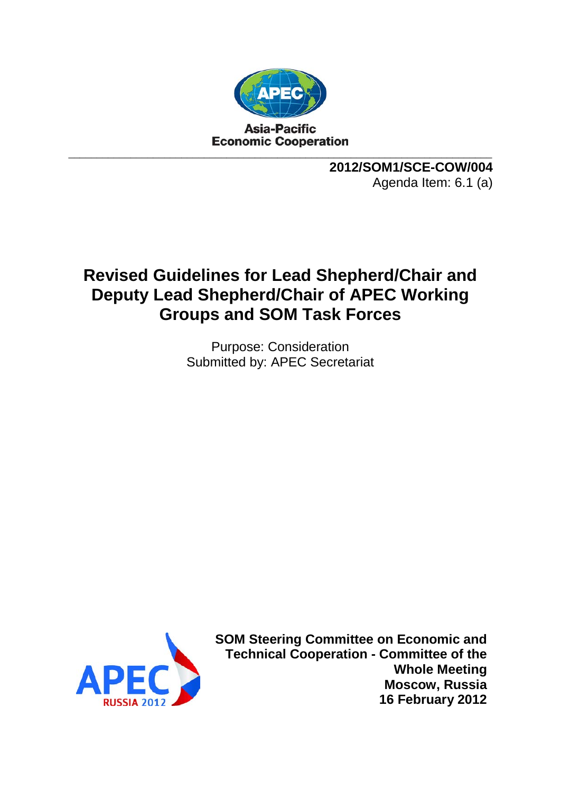

**2012/SOM1/SCE-COW/004** Agenda Item: 6.1 (a)

# **Revised Guidelines for Lead Shepherd/Chair and Deputy Lead Shepherd/Chair of APEC Working Groups and SOM Task Forces**

Purpose: Consideration Submitted by: APEC Secretariat



**SOM Steering Committee on Economic and Technical Cooperation - Committee of the Whole Meeting Moscow, Russia 16 February 2012**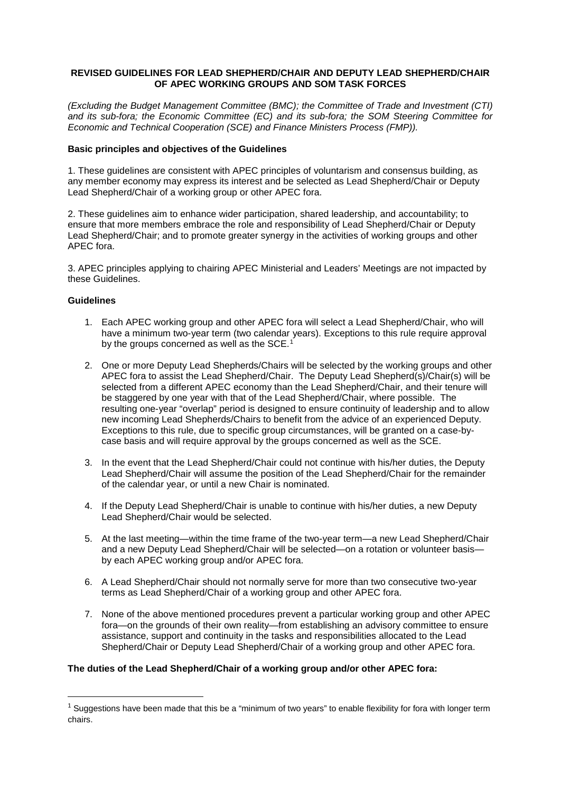# **REVISED GUIDELINES FOR LEAD SHEPHERD/CHAIR AND DEPUTY LEAD SHEPHERD/CHAIR OF APEC WORKING GROUPS AND SOM TASK FORCES**

*(Excluding the Budget Management Committee (BMC); the Committee of Trade and Investment (CTI) and its sub-fora; the Economic Committee (EC) and its sub-fora; the SOM Steering Committee for Economic and Technical Cooperation (SCE) and Finance Ministers Process (FMP)).*

## **Basic principles and objectives of the Guidelines**

1. These guidelines are consistent with APEC principles of voluntarism and consensus building, as any member economy may express its interest and be selected as Lead Shepherd/Chair or Deputy Lead Shepherd/Chair of a working group or other APEC fora.

2. These guidelines aim to enhance wider participation, shared leadership, and accountability; to ensure that more members embrace the role and responsibility of Lead Shepherd/Chair or Deputy Lead Shepherd/Chair; and to promote greater synergy in the activities of working groups and other APEC fora.

3. APEC principles applying to chairing APEC Ministerial and Leaders' Meetings are not impacted by these Guidelines.

## **Guidelines**

- 1. Each APEC working group and other APEC fora will select a Lead Shepherd/Chair, who will have a minimum two-year term (two calendar years). Exceptions to this rule require approval by the groups concerned as well as the SCE.<sup>[1](#page-1-0)</sup>
- 2. One or more Deputy Lead Shepherds/Chairs will be selected by the working groups and other APEC fora to assist the Lead Shepherd/Chair. The Deputy Lead Shepherd(s)/Chair(s) will be selected from a different APEC economy than the Lead Shepherd/Chair, and their tenure will be staggered by one year with that of the Lead Shepherd/Chair, where possible. The resulting one-year "overlap" period is designed to ensure continuity of leadership and to allow new incoming Lead Shepherds/Chairs to benefit from the advice of an experienced Deputy. Exceptions to this rule, due to specific group circumstances, will be granted on a case-bycase basis and will require approval by the groups concerned as well as the SCE.
- 3. In the event that the Lead Shepherd/Chair could not continue with his/her duties, the Deputy Lead Shepherd/Chair will assume the position of the Lead Shepherd/Chair for the remainder of the calendar year, or until a new Chair is nominated.
- 4. If the Deputy Lead Shepherd/Chair is unable to continue with his/her duties, a new Deputy Lead Shepherd/Chair would be selected.
- 5. At the last meeting—within the time frame of the two-year term—a new Lead Shepherd/Chair and a new Deputy Lead Shepherd/Chair will be selected—on a rotation or volunteer basis by each APEC working group and/or APEC fora.
- 6. A Lead Shepherd/Chair should not normally serve for more than two consecutive two-year terms as Lead Shepherd/Chair of a working group and other APEC fora.
- 7. None of the above mentioned procedures prevent a particular working group and other APEC fora—on the grounds of their own reality—from establishing an advisory committee to ensure assistance, support and continuity in the tasks and responsibilities allocated to the Lead Shepherd/Chair or Deputy Lead Shepherd/Chair of a working group and other APEC fora.

# **The duties of the Lead Shepherd/Chair of a working group and/or other APEC fora:**

<span id="page-1-0"></span> $1$  Suggestions have been made that this be a "minimum of two years" to enable flexibility for fora with longer term chairs.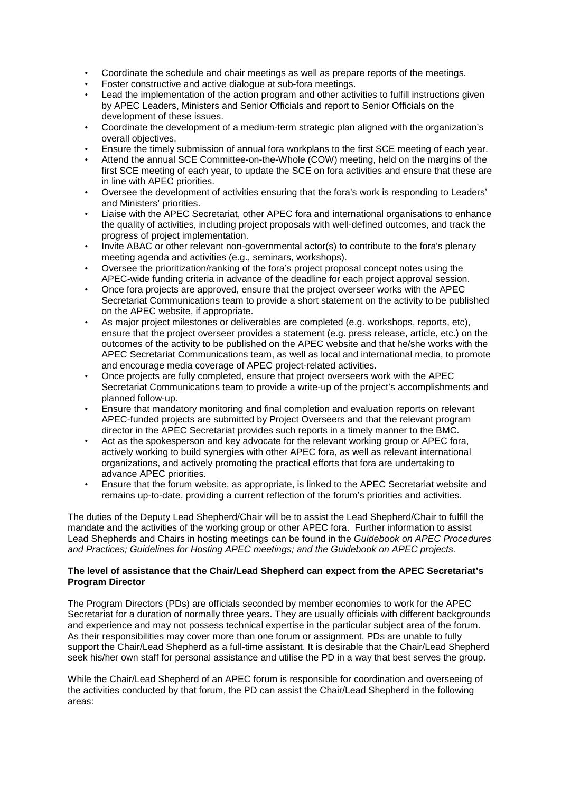- Coordinate the schedule and chair meetings as well as prepare reports of the meetings.
- Foster constructive and active dialogue at sub-fora meetings.
- Lead the implementation of the action program and other activities to fulfill instructions given by APEC Leaders, Ministers and Senior Officials and report to Senior Officials on the development of these issues.
- Coordinate the development of a medium-term strategic plan aligned with the organization's overall objectives.
- Ensure the timely submission of annual fora workplans to the first SCE meeting of each year.
- Attend the annual SCE Committee-on-the-Whole (COW) meeting, held on the margins of the first SCE meeting of each year, to update the SCE on fora activities and ensure that these are in line with APEC priorities.
- Oversee the development of activities ensuring that the fora's work is responding to Leaders' and Ministers' priorities.
- Liaise with the APEC Secretariat, other APEC fora and international organisations to enhance the quality of activities, including project proposals with well-defined outcomes, and track the progress of project implementation.
- Invite ABAC or other relevant non-governmental actor(s) to contribute to the fora's plenary meeting agenda and activities (e.g., seminars, workshops).
- Oversee the prioritization/ranking of the fora's project proposal concept notes using the APEC-wide funding criteria in advance of the deadline for each project approval session.
- Once fora projects are approved, ensure that the project overseer works with the APEC Secretariat Communications team to provide a short statement on the activity to be published on the APEC website, if appropriate.
- As major project milestones or deliverables are completed (e.g. workshops, reports, etc), ensure that the project overseer provides a statement (e.g. press release, article, etc.) on the outcomes of the activity to be published on the APEC website and that he/she works with the APEC Secretariat Communications team, as well as local and international media, to promote and encourage media coverage of APEC project-related activities.
- Once projects are fully completed, ensure that project overseers work with the APEC Secretariat Communications team to provide a write-up of the project's accomplishments and planned follow-up.
- Ensure that mandatory monitoring and final completion and evaluation reports on relevant APEC-funded projects are submitted by Project Overseers and that the relevant program director in the APEC Secretariat provides such reports in a timely manner to the BMC.
- Act as the spokesperson and key advocate for the relevant working group or APEC fora, actively working to build synergies with other APEC fora, as well as relevant international organizations, and actively promoting the practical efforts that fora are undertaking to advance APEC priorities.
- Ensure that the forum website, as appropriate, is linked to the APEC Secretariat website and remains up-to-date, providing a current reflection of the forum's priorities and activities.

The duties of the Deputy Lead Shepherd/Chair will be to assist the Lead Shepherd/Chair to fulfill the mandate and the activities of the working group or other APEC fora. Further information to assist Lead Shepherds and Chairs in hosting meetings can be found in the *Guidebook on APEC Procedures and Practices; Guidelines for Hosting APEC meetings; and the Guidebook on APEC projects.*

# **The level of assistance that the Chair/Lead Shepherd can expect from the APEC Secretariat's Program Director**

The Program Directors (PDs) are officials seconded by member economies to work for the APEC Secretariat for a duration of normally three years. They are usually officials with different backgrounds and experience and may not possess technical expertise in the particular subject area of the forum. As their responsibilities may cover more than one forum or assignment, PDs are unable to fully support the Chair/Lead Shepherd as a full-time assistant. It is desirable that the Chair/Lead Shepherd seek his/her own staff for personal assistance and utilise the PD in a way that best serves the group.

While the Chair/Lead Shepherd of an APEC forum is responsible for coordination and overseeing of the activities conducted by that forum, the PD can assist the Chair/Lead Shepherd in the following areas: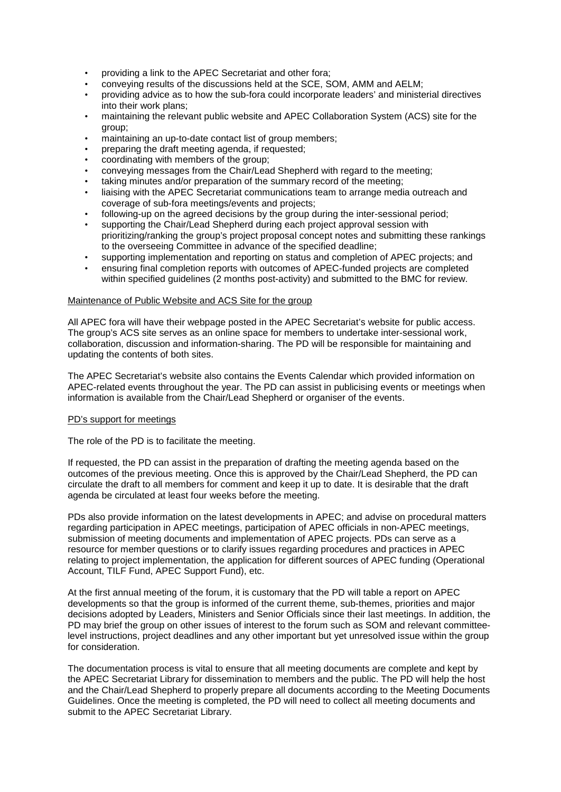- providing a link to the APEC Secretariat and other fora;
- conveying results of the discussions held at the SCE, SOM, AMM and AELM;
- providing advice as to how the sub-fora could incorporate leaders' and ministerial directives into their work plans;
- maintaining the relevant public website and APEC Collaboration System (ACS) site for the group;
- maintaining an up-to-date contact list of group members;
- preparing the draft meeting agenda, if requested;
- coordinating with members of the group;
- conveying messages from the Chair/Lead Shepherd with regard to the meeting;
- taking minutes and/or preparation of the summary record of the meeting;
- liaising with the APEC Secretariat communications team to arrange media outreach and coverage of sub-fora meetings/events and projects;
- following-up on the agreed decisions by the group during the inter-sessional period;
- supporting the Chair/Lead Shepherd during each project approval session with prioritizing/ranking the group's project proposal concept notes and submitting these rankings to the overseeing Committee in advance of the specified deadline;
- supporting implementation and reporting on status and completion of APEC projects; and • ensuring final completion reports with outcomes of APEC-funded projects are completed
- within specified guidelines (2 months post-activity) and submitted to the BMC for review.

## Maintenance of Public Website and ACS Site for the group

All APEC fora will have their webpage posted in the APEC Secretariat's website for public access. The group's ACS site serves as an online space for members to undertake inter-sessional work, collaboration, discussion and information-sharing. The PD will be responsible for maintaining and updating the contents of both sites.

The APEC Secretariat's website also contains the Events Calendar which provided information on APEC-related events throughout the year. The PD can assist in publicising events or meetings when information is available from the Chair/Lead Shepherd or organiser of the events.

## PD's support for meetings

The role of the PD is to facilitate the meeting.

If requested, the PD can assist in the preparation of drafting the meeting agenda based on the outcomes of the previous meeting. Once this is approved by the Chair/Lead Shepherd, the PD can circulate the draft to all members for comment and keep it up to date. It is desirable that the draft agenda be circulated at least four weeks before the meeting.

PDs also provide information on the latest developments in APEC; and advise on procedural matters regarding participation in APEC meetings, participation of APEC officials in non-APEC meetings, submission of meeting documents and implementation of APEC projects. PDs can serve as a resource for member questions or to clarify issues regarding procedures and practices in APEC relating to project implementation, the application for different sources of APEC funding (Operational Account, TILF Fund, APEC Support Fund), etc.

At the first annual meeting of the forum, it is customary that the PD will table a report on APEC developments so that the group is informed of the current theme, sub-themes, priorities and major decisions adopted by Leaders, Ministers and Senior Officials since their last meetings. In addition, the PD may brief the group on other issues of interest to the forum such as SOM and relevant committeelevel instructions, project deadlines and any other important but yet unresolved issue within the group for consideration.

The documentation process is vital to ensure that all meeting documents are complete and kept by the APEC Secretariat Library for dissemination to members and the public. The PD will help the host and the Chair/Lead Shepherd to properly prepare all documents according to the Meeting Documents Guidelines. Once the meeting is completed, the PD will need to collect all meeting documents and submit to the APEC Secretariat Library.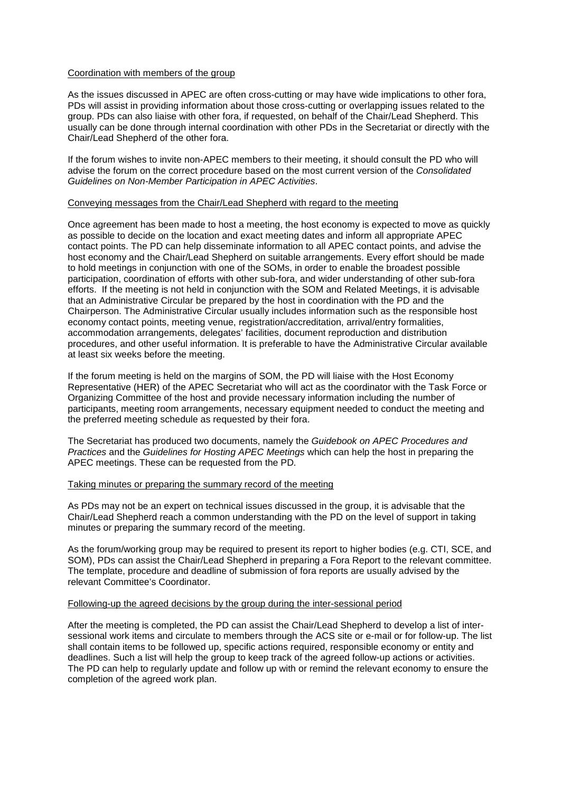#### Coordination with members of the group

As the issues discussed in APEC are often cross-cutting or may have wide implications to other fora, PDs will assist in providing information about those cross-cutting or overlapping issues related to the group. PDs can also liaise with other fora, if requested, on behalf of the Chair/Lead Shepherd. This usually can be done through internal coordination with other PDs in the Secretariat or directly with the Chair/Lead Shepherd of the other fora.

If the forum wishes to invite non-APEC members to their meeting, it should consult the PD who will advise the forum on the correct procedure based on the most current version of the *Consolidated Guidelines on Non-Member Participation in APEC Activities*.

#### Conveying messages from the Chair/Lead Shepherd with regard to the meeting

Once agreement has been made to host a meeting, the host economy is expected to move as quickly as possible to decide on the location and exact meeting dates and inform all appropriate APEC contact points. The PD can help disseminate information to all APEC contact points, and advise the host economy and the Chair/Lead Shepherd on suitable arrangements. Every effort should be made to hold meetings in conjunction with one of the SOMs, in order to enable the broadest possible participation, coordination of efforts with other sub-fora, and wider understanding of other sub-fora efforts. If the meeting is not held in conjunction with the SOM and Related Meetings, it is advisable that an Administrative Circular be prepared by the host in coordination with the PD and the Chairperson. The Administrative Circular usually includes information such as the responsible host economy contact points, meeting venue, registration/accreditation, arrival/entry formalities, accommodation arrangements, delegates' facilities, document reproduction and distribution procedures, and other useful information. It is preferable to have the Administrative Circular available at least six weeks before the meeting.

If the forum meeting is held on the margins of SOM, the PD will liaise with the Host Economy Representative (HER) of the APEC Secretariat who will act as the coordinator with the Task Force or Organizing Committee of the host and provide necessary information including the number of participants, meeting room arrangements, necessary equipment needed to conduct the meeting and the preferred meeting schedule as requested by their fora.

The Secretariat has produced two documents, namely the *Guidebook on APEC Procedures and Practices* and the *Guidelines for Hosting APEC Meetings* which can help the host in preparing the APEC meetings. These can be requested from the PD*.*

# Taking minutes or preparing the summary record of the meeting

As PDs may not be an expert on technical issues discussed in the group, it is advisable that the Chair/Lead Shepherd reach a common understanding with the PD on the level of support in taking minutes or preparing the summary record of the meeting.

As the forum/working group may be required to present its report to higher bodies (e.g. CTI, SCE, and SOM), PDs can assist the Chair/Lead Shepherd in preparing a Fora Report to the relevant committee. The template, procedure and deadline of submission of fora reports are usually advised by the relevant Committee's Coordinator.

#### Following-up the agreed decisions by the group during the inter-sessional period

After the meeting is completed, the PD can assist the Chair/Lead Shepherd to develop a list of intersessional work items and circulate to members through the ACS site or e-mail or for follow-up. The list shall contain items to be followed up, specific actions required, responsible economy or entity and deadlines. Such a list will help the group to keep track of the agreed follow-up actions or activities. The PD can help to regularly update and follow up with or remind the relevant economy to ensure the completion of the agreed work plan.